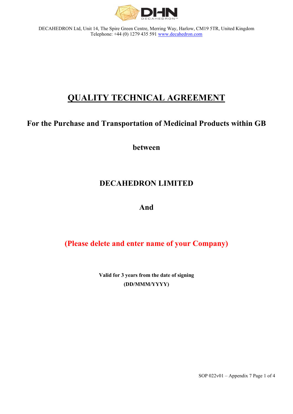

# **QUALITY TECHNICAL AGREEMENT**

# **For the Purchase and Transportation of Medicinal Products within GB**

**between**

# **DECAHEDRON LIMITED**

## **And**

# **(Please delete and enter name of your Company)**

**Valid for 3 years from the date of signing (DD/MMM/YYYY)**

SOP  $022v01$  – Appendix 7 Page 1 of 4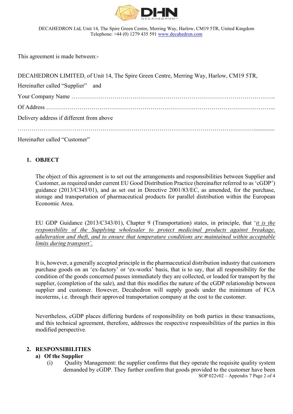

This agreement is made between:-

| DECAHEDRON LIMITED, of Unit 14, The Spire Green Centre, Merring Way, Harlow, CM19 5TR, |
|----------------------------------------------------------------------------------------|
| Hereinafter called "Supplier" and                                                      |
|                                                                                        |
|                                                                                        |
| Delivery address if different from above                                               |
|                                                                                        |
|                                                                                        |

Hereinafter called "Customer"

### **1. OBJECT**

The object of this agreement is to set out the arrangements and responsibilities between Supplier and Customer, as required under current EU Good Distribution Practice (hereinafter referred to as 'cGDP') guidance (2013/C343/01), and as set out in Directive 2001/83/EC, as amended, for the purchase, storage and transportation of pharmaceutical products for parallel distribution within the European Economic Area.

EU GDP Guidance (2013/C343/01), Chapter 9 (Transportation) states, in principle, that '*it is the responsibility of the Supplying wholesaler to protect medicinal products against breakage, adulteration and theft, and to ensure that temperature conditions are maintained within acceptable limits during transport'.*

It is, however, a generally accepted principle in the pharmaceutical distribution industry that customers purchase goods on an 'ex-factory' or 'ex-works' basis, that is to say, that all responsibility for the condition of the goods concerned passes immediately they are collected, or loaded for transport by the supplier, (completion of the sale), and that this modifies the nature of the cGDP relationship between supplier and customer. However, Decahedron will supply goods under the minimum of FCA incoterms, i.e. through their approved transportation company at the cost to the customer.

Nevertheless, cGDP places differing burdens of responsibility on both parties in these transactions, and this technical agreement, therefore, addresses the respective responsibilities of the parties in this modified perspective.

### **2. RESPONSIBILITIES**

### **a) Of the Supplier**

(i) Quality Management: the supplier confirms that they operate the requisite quality system demanded by cGDP. They further confirm that goods provided to the customer have been SOP  $022v02$  – Appendix 7 Page 2 of 4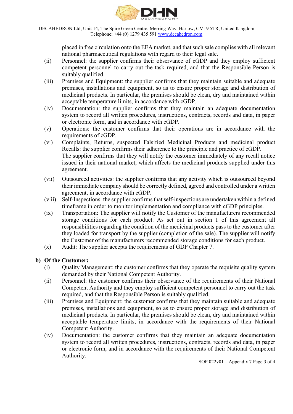

placed in free circulation onto the EEA market, and that such sale complies with all relevant national pharmaceutical regulations with regard to their legal sale.

- (ii) Personnel: the supplier confirms their observance of cGDP and they employ sufficient competent personnel to carry out the task required, and that the Responsible Person is suitably qualified.
- (iii) Premises and Equipment: the supplier confirms that they maintain suitable and adequate premises, installations and equipment, so as to ensure proper storage and distribution of medicinal products. In particular, the premises should be clean, dry and maintained within acceptable temperature limits, in accordance with cGDP.
- (iv) Documentation: the supplier confirms that they maintain an adequate documentation system to record all written procedures, instructions, contracts, records and data, in paper or electronic form, and in accordance with cGDP.
- (v) Operations: the customer confirms that their operations are in accordance with the requirements of cGDP.
- (vi) Complaints, Returns, suspected Falsified Medicinal Products and medicinal product Recalls: the supplier confirms their adherence to the principle and practice of cGDP. The supplier confirms that they will notify the customer immediately of any recall notice issued in their national market, which affects the medicinal products supplied under this agreement.
- (vii) Outsourced activities: the supplier confirms that any activity which is outsourced beyond their immediate company should be correctly defined, agreed and controlled under a written agreement, in accordance with cGDP.
- (viii) Self-Inspections: the supplier confirms that self-inspections are undertaken within a defined timeframe in order to monitor implementation and compliance with cGDP principles.
- (ix) Transportation: The supplier will notify the Customer of the manufacturers recommended storage conditions for each product. As set out in section 1 of this agreement all responsibilities regarding the condition of the medicinal products pass to the customer after they loaded for transport by the supplier (completion of the sale). The supplier will notify the Customer of the manufacturers recommended storage conditions for each product.
- (x) Audit: The supplier accepts the requirements of GDP Chapter 7.

### **b) Of the Customer:**

- (i) Quality Management: the customer confirms that they operate the requisite quality system demanded by their National Competent Authority.
- (ii) Personnel: the customer confirms their observance of the requirements of their National Competent Authority and they employ sufficient competent personnel to carry out the task required, and that the Responsible Person is suitably qualified.
- (iii) Premises and Equipment: the customer confirms that they maintain suitable and adequate premises, installations and equipment, so as to ensure proper storage and distribution of medicinal products. In particular, the premises should be clean, dry and maintained within acceptable temperature limits, in accordance with the requirements of their National Competent Authority.
- (iv) Documentation: the customer confirms that they maintain an adequate documentation system to record all written procedures, instructions, contracts, records and data, in paper or electronic form, and in accordance with the requirements of their National Competent Authority.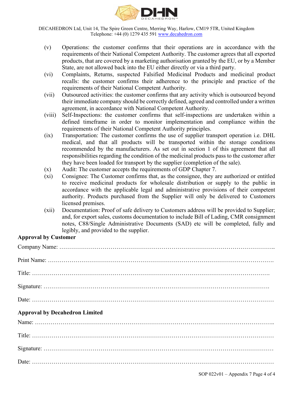

- (v) Operations: the customer confirms that their operations are in accordance with the requirements of their National Competent Authority. The customer agrees that all exported products, that are covered by a marketing authorisation granted by the EU, or by a Member State, are not allowed back into the EU either directly or via a third party.
- (vi) Complaints, Returns, suspected Falsified Medicinal Products and medicinal product recalls: the customer confirms their adherence to the principle and practice of the requirements of their National Competent Authority.
- (vii) Outsourced activities: the customer confirms that any activity which is outsourced beyond their immediate company should be correctly defined, agreed and controlled under a written agreement, in accordance with National Competent Authority.
- (viii) Self-Inspections: the customer confirms that self-inspections are undertaken within a defined timeframe in order to monitor implementation and compliance within the requirements of their National Competent Authority principles.
- (ix) Transportation: The customer confirms the use of supplier transport operation i.e. DHL medical, and that all products will be transported within the storage conditions recommended by the manufacturers. As set out in section 1 of this agreement that all responsibilities regarding the condition of the medicinal products pass to the customer after they have been loaded for transport by the supplier (completion of the sale).
- (x) Audit: The customer accepts the requirements of GDP Chapter 7.
- (xi) Consignee: The Customer confirms that, as the consignee, they are authorized or entitled to receive medicinal products for wholesale distribution or supply to the public in accordance with the applicable legal and administrative provisions of their competent authority. Products purchased from the Supplier will only be delivered to Customers licensed premises.
- (xii) Documentation: Proof of safe delivery to Customers address will be provided to Supplier; and, for export sales, customs documentation to include Bill of Lading, CMR consignment notes, C88/Single Administrative Documents (SAD) etc will be completed, fully and legibly, and provided to the supplier.

### **Approval by Customer**

| <b>Approval by Decahedron Limited</b> |
|---------------------------------------|
|                                       |
|                                       |
|                                       |

SOP  $022v01$  – Appendix 7 Page 4 of 4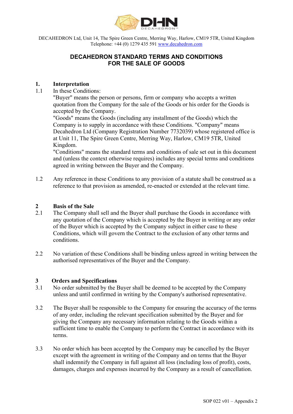

DECAHEDRON Ltd, Unit 14, The Spire Green Centre, Merring Way, Harlow, CM19 5TR, United Kingdom<br>Telephone: +44 (0) 1279 435 591 www.decahedron.com<br>**DECAHEDRON STANDARD TERMS AND CONDITIONS**<br>FOR THE SALE OF GOODS Telephone: +44 (0) 1279 435 591 www.decahedron.com N Ltd, Unit 14, The Spire Green Centre, Merring Way, Harlow, CM19 5TR, United Kingdom<br>Telephone: +44 (0) 1279 435 591 <u>www.decahedron.com</u><br>**DECAHEDRON STANDARD TERMS AND CONDITIONS**<br>FOR THE SALE OF GOODS

# FOR THE SALE OF GOODS

### 1.1 In these Conditions:

DECAHEDRON Ltd, Unit 14, The Spire Green Centre, Merring Way, Harlow, CM19 ST<br>
Telephone: +44 (0) 1279 435 591 <u>www.decahedron.com</u><br> **DECAHEDRON STANDARD TERMS AND CONDITIO**<br>
FOR THE SALE OF GOODS<br>
1. Interpretation<br>
1.1 I "Buyer" means the person or persons, firm or company who accepts a written quotation from the Company for the sale of the Goods or his order for the Goods is accepted by the Company.

"Goods" means the Goods (including any installment of the Goods) which the **COMPANY IS THE SHE COMPANY IS THE SHE COMPANY IS THE SHE COMPANY IS THE SHE CONDITIONS**<br> **COMPANY IS THE SHE COMPANY IS TO SUPPLY OF STANDARD TERMS AND CONDITIONS**<br> **COMPANY IS THE SALE OF GOODS**<br> **CONDITIONS**<br> **CONDITION PEDRON Ltd, Unit 14, The Spire Green Center, Mering Way, Harlow, CM19 5TR, United Kingdom**<br> **DECAHEDRON STANDARD TERMS AND CONDITIONS**<br> **DECAHEDRON STANDARD TERMS AND CONDITIONS**<br> **EVALUATE: FOR THE SALE OF GOODS**<br> **In** at Unit 11, The Spire Green Centre, Merring Way, Harlow, CM19 5TR, United Kingdom. **DECAHEDRON STANDARD TERMS AND CONDITIONS**<br> **EOR THE SALE OF GOODS**<br> **1.** In these Conditions:<br>
"Buyer" means the person or persons, firm or company who accepts a written<br>
quotation from the Company for the sale of the Goo 1. **Interpretation**<br>
2.1 In these Conditions:<br>
2.1 In these Conditions:<br>
2.1 The means the person or persons, firm or company who accepts<br>
2.1 quotation from the Company.<br>
2.1 Goods' means the Goods (including any install

"Conditions" means the standard terms and conditions of sale set out in this document and (unless the context otherwise requires) includes any special terms and conditions agreed in writing between the Buyer and the Company.

reference to that provision as amended, re-enacted or extended at the relevant time.

- 2.1 In these Conditions:<br>
2.1 In these Conditions:<br>
1.1 The Company for the sale of the Goods or his order for the Goods in<br>
accordar more the Company for the sale of the Goods or his order for the Goods in<br>
2.0 "Goods" me any quotation of the Company which is accepted by the Buyer in writing or any order signation from the Company for the sale of the Goods or his order for the Goods is<br>accepted by the Company for the sale of the Goods or his order for the Goods is<br>accepted by the Company is accordance with these Conditions Conditions, which will govern the Contract to the exclusion of any other terms and conditions. 2.2 Dealted to the Solution of the Company Registration Number 7732039) whose registered office is at Unit 11, The Spire Green Centre, Merring Way, Harlow, CM19 5TR, United Kingdom.<br>
1.2 Kingdom.<br>
"Conditions" means the st 3.1 No variations and Specifications and the Company stream excelses the Company.<br>
1.2 Any reference in these Conditions to any provision of a statute shall be construed as a reference to that provision as amended, re-enac 3.1 The Company shall be responsible to the Company for ensuring the company autoficial the Company shall sell and the Buyer shall purchase the Goods in accordance with any quotation of the Company ship is accepted by the **Example 10** the Sale of the Sale of the Ruy order, the relevant specification of the Company shall sell and the Buyer in verior any order any quotation of the Company which is accepted by the Company subject in citier cas **Example 12**<br> **Example 12** The Company shall sell and the Buyer shall purchase the Goods in accordance with<br>
any quotation of the Company which is accepted by the Buyer in writing or any order<br>
of the Buyer which is accep
- authorised representatives of the Buyer and the Company.

### 3 Orders and Specifications

- unless and until confirmed in writing by the Company's authorised representative.
- d by the Company<br>
sed representative.<br>
e accuracy of the terms<br>
the Buyer and for<br>
Soods within a<br>
in accordance with its<br>
celled by the Buyer<br>
rms that the Buyer<br>
loss of profit), costs,<br>
esult of cancellation.<br>
SOP 022 v sufficient time to enable the Company to perform the Contract in accordance with its terms. 2.2 On Buyer which is accepted by the Company subject in citier case to these Conditions.<br>
2.2 No variation of these Conditions shall be binding unless agreed in writing between the<br>
2.2 No variation of these Conditions sh
- except with the agreement in writing of the Company and on terms that the Buyer shall indemnify the Company in full against all loss (including loss of profit), costs, damages, charges and expenses incurred by the Company as a result of cancellation.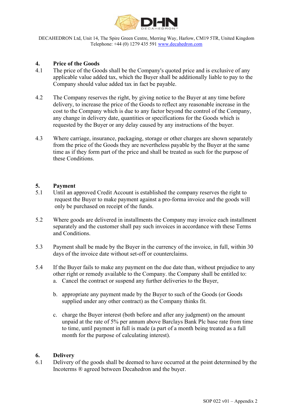

DECAHEDRON Ltd, Unit 14, The Spire Green Centre, Merring Way, Harlow, CM19 5TR, United Kingdom<br>Telephone: +44 (0) 1279 435 591 www.decahedron.com<br>Price of the Goods<br>1 The price of the Goods shall be the Company's quoted pr Telephone: +44 (0) 1279 435 591 www.decahedron.com

- DECAHEDRON Ltd, Unit 14, The Spire Green Centre, Merring Way, Harlow, CM19 51<br>
Telephone: +44 (0) 1279 435 591 www.decahedron.com<br>
4. Price of the Goods<br>
4.1 Price of the Goods shall be the Company's quoted price and is e<br> **EXAMPEDRON Ltd, Unit 14, The Spire Green Centre, Merring Way, Harlow, CM19 5TR, United Kingdom Telephone: +44 (0) 1279 435 591 <u>www.decahedron.com</u><br>
4.<br>
<b>4.** Price of the Goods shall be the Company's quoted price and is e applicable value added tax, which the Buyer shall be additionally liable to pay to the Company should value added tax in fact be payable.
- **EXAMEDRON Ltd, Unit 14, The Spire Green Centre, Merring Way, Harlow, CM19 STR, United Kingdom Telephone: +44 (0) 1279 435 591 <u>www.decahedron.com</u><br>
<b>4.**<br> **4. Price of the Goods** shall be the Company's quoted price and i **EXAMEDRON Ltd.** Unit 14. The Spire Green Centre. Merring Way, Harlow, CM19 5TR, United Kingdom Telephone: +44 (0) 1279 435 591 <u>www.decahedron.com</u><br>
4. Price of the Goods the Goods shall be the Company's quoted price and cost to the Company which is due to any factor beyond the control of the Company, any change in delivery date, quantities or specifications for the Goods which is requested by the Buyer or any delay caused by any instructions of the buyer. **EXECUTE THE SURVE CONSTRANCE THE SURVE CONSTRANCE THE CONSTRANCE THE CONSTRANCE THE CONSTRANCE THE CONSTRANCE CONSTRANCE (THE OF ORDER 4.1) The price of the Goods shall be the Company's quoted price and is exclusive of a From the price of the Spine Control of the Spine Cheen Centre, Merring Way, Harlow, CM19 5TR. United Kingdom Telephone: +44 (0) 1279 435 591 <u>www.decalaction.com</u><br>
4.<br>
<b>Frice of the Goods** shall be the Company's quoted pr The price of the Goods shall be the Company's quoted price and is exclusive of any applicable value added tax which the Buyer shall be additionally liable to pay to the Company should value added tax which the Buyer at any The Company reserves the right, by giving notice to the Buyer at any time before<br>delivery, to increase the price of the Goods to reflect any reasonable increase in the<br>cost to the Company which is due to any factor beyond separately and the customer shall pay such invoices in accordance with the customer shall pay state to the Goods to reflect any reasonable increase in the cost other Compary, any change in delivery date, quantities or spec
- time as if they form part of the price and shall be treated as such for the purpose of these Conditions. 5.3 Payment shall be made by the Buyer in the currency of the invoice, in full, within 30 days of the invoice due without state in the company shall be trace in the price of the Goods they are nevertheless payable by the B From the price of the Goods they are nevertheless payable by the Buyer at the same<br>time as if they form part of the price and shall be treated as such for the purpose of<br>these Conditions.<br>5.1 **Payment**<br>5.1 Until an approve

### 5. Payment

- request the Buyer to make payment against a pro-forma invoice and the goods will only be purchased on receipt of the funds.
- and Conditions. **Example 19** and the prior and state is stablished the company reserves the right to the contract the Buyer to make payment against a pro-forma invoice and the goods will request the Buyer to make payment against a pro-fo **Payment**<br>
Until an approved Credit Account is established the company reserves the right to<br>
request the Buyer to make payment against a pro-forma invoice and the goods will<br>
only be purchased on receipt of the funds.<br>
W
- days of the invoice date without set-off or counterclaims.
- other right or remedy available to the Company. the Company shall be entitled to:
	- supplied under any other contract) as the Company thinks fit.
- Solar be entitled to:<br>Buyer,<br>Goods (or Goods<br>it.<br>nt) on the amount<br>c base rate from time<br>ng treated as a full<br>oint determined by the<br>SOP 022 v01 Appendix 2 r where the Buyer to make payment against a fore-proma invoice and the goods will<br>Until an approved Credit Account is established the company reserves and the goods will<br>solve be purchased on receipt of the funds.<br>Where go n an epproor to content to exact the Buyer in the company is used to be goods will<br>yest the Buyer to make payment against a pro-forma invoice and the goods will<br>ye purchased on receipt of the funds.<br>For goods are delivered to time, until payment in full is made (a part of a month being treated as a full month for the purpose of calculating interest). 6.1 Delivery and the Buyer in the currency of the invoice, in full, within 30 days of the invoice date without set-off or counterclaims.<br>
5.4 If the Buyer fails to make any payment on the due date than, without prejudice 5.3 Payment shall be made by the Buyer in the currency of the invoice, in full, within 30 days of the invoice date without set-off or counterclaims.<br>
14 the Buyer fails to make any payment on the due date than, without pr

### 6. Delivery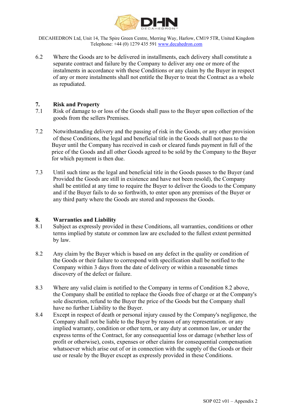

Telephone: +44 (0) 1279 435 591 www.decahedron.com

DECAHEDRON Ltd, Unit 14, The Spire Green Centre, Merring Way, Harlow, CM19 5TR, United Kingdom<br>
Telephone: +44 (0) 1279 435 591 <u>www.decahedron.com</u><br>
2 Where the Goods are to be delivered in installments, each delivery sha **EXECUTE ARTLE CONSTRANT CONSTRANT CONSTRANT CONSTRANT CONSTRANT CONSTRANT CONSTRANT CONSTRANT CONSTRANT CONSTRANT CONSTRANT CONSTRANT WE SERVED AND STRUCT WHERE A SEPARATE CONSTRANT ON SERVED AND CONSTRANT CONSTRANT CONST**  separate contract and failure by the Company to deliver any one or more of the **IDECAHEDRON Ltd, Unit 14, The Spire Green Centre, Merring Way, Harlow, CM19 5TR, United Kingdom**<br>
Telephone: +44 (0) 1279 435 591 <u>www.decahedron.com</u><br>
6.2 Where the Goods are to be delivered in installments, each deliver of any or more instalments shall not entitle the Buyer to treat the Contract as a whole as repudiated. **1.2.**<br> **EXECUTE THE SPACE ALTE DRAMEL SECUTE ON THE SPACE ALTE DRAMEL SECUTE THE SPACE STATE ONCE THE SPACE STATE ONCE THE SPACE STATE ON SEPARATE SPACE SUPPOSE SERVE AND SPACE SPACE SPACE SPACE SPACE SPACE SPACE SPACE SP PECAHEDRON Ltd, Unit 14, The Spire Green Centre, Merring Way, Harlow, CM19 5TR, United Kingdom<br>
Telephone: +44 (0) 1279 435 591 <u>www.decahedron.com</u><br>
7.1 Where the Goods are to be delivered in installments, each delivery** 

- goods from the sellers Premises.
- **1.2** DECAHEDRON Ltd, Unit 14, The Spire Green Centre Are in new week.<br>
7.2 Notice Replace:  $+4(0)$  1279 435 591 <u>www.decahedron.com</u><br>
6.2 Where the Goods are to be delivered in installments, each delivery shall constitute of these Conditions, the legal and beneficial title in the Goods shall not pass to the Buyer until the Company has received in cash or cleared funds payment in full of the price of the Goods and all other Goods agreed to be sold by the Company to the Buyer for which payment is then due. The sum of the second in the selective of the beneficial title in the separate contract and failure by the Company to deliver any one or more of the instalments in accordance with these Conditions or any claim by the Buye For the Goods are to be delivered in installments, each delivery shall constitute a<br>separate contract and failure by the Company to deliver any one or more of the<br>instalments in accordance with these Conditions or any cla **1. Risk and Property**<br>
1.1 Risk of damage to or loss of the Goods shall pass to the Buyer up<br>
1.1 Risk of damage to or loss of the Goods shall pass to the Buyer up<br>
1.2 Notwithstanding delivery and the passing of risk **8.1 Risk and Property**<br>
8.1 Risk of damage to or loss of the Goods shall pass to the Buyer upon collection of the<br>
goods from the sellers Premises.<br>
8.1 Solid manus of these Conditions, the legal and beneficial title i 8.2 Notwithstanding delivery and the passing of risk in the Goods, or any other provision<br>of these Conditions, the legal and beneficial title in the Goods shall not pass to the<br>Buyer until the Company has received in each
- shall be entitled at any time to require the Buyer to deliver the Goods to the Company and if the Buyer fails to do so forthwith, to enter upon any premises of the Buyer or any third party where the Goods are stored and repossess the Goods. 1.3 Where the discovers of the company in extraction of the Condition 8.2 above, the Company shall be entitled at any time to require the Buyer to deliver the Goods to the Company and if the Buyer fails to do so forthwint,

- terms implied by statute or common law are excluded to the fullest extent permitted by law.
- the Goods or their failure to correspond with specification shall be notified to the Company within 3 days from the date of delivery or within a reasonable times discovery of the defect or failure.
- the Company shall be entitled to replace the Goods free of charge or at the Company's sole discretion, refund to the Buyer the price of the Goods but the Company shall have no further Liability to the Buyer.
- Condition 8.2 above,<br>ge or at the Company's<br>he Company shall<br>pany's negligence, the<br>ssentation. or any<br>on law, or under the<br>nage (whether less of<br>nential compensation<br>of the Goods or their<br>conditions. 8.4 Except in the Company single of death or personal injury caused by the Company's negligence, the Company shall not be contribuilty of the Buyer fails to do so forthwith, to enter upon any premises of the Buyer or any t Company shall not be liable to the Buyer by reason of any representation. or any implied warranty, condition or other term, or any duty at common law, or under the express terms of the Contract, for any consequential loss or damage (whether less of profit or otherwise), costs, expenses or other claims for consequential compensation What what we was considered in these Conditions, all warranties, conditions or other terms implied by statute or common law are excluded to the fillest extent permitted by law.<br>Any claim by the Buyer which is based on any use or resale by the Buyer except as expressly provided in these Conditions.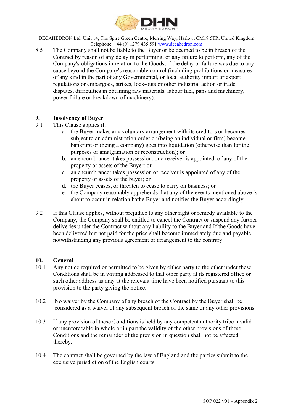

Telephone: +44 (0) 1279 435 591 www.decahedron.com

DECAHEDRON Ltd, Unit 14, The Spire Green Centre, Merring Way, Harlow, CM19 5TR, United Kingdom<br>
Telephone: +44 (0) 1279 435 591 <u>www.decahedron.com</u><br>
5 The Company shall not be liable to the Buyer or be deemed to be in bre **EXECT DECAHEDRON Ltd, Unit 14, The Spire Green Centre, Merring Way, Harlow, CM19 5TR, United Kingdom**<br>
Telephone: +44 (0) 1279 435 591 <u>www.decahedron.com</u><br>
8.5 The Company shall not be liable to the Buyer or be deemed to HEDRON Ltd, Unit 14, The Spire Green Centre, Merring Way, Harlow, CM19 5TR, United Kingdom<br>The Company shall not be liable to the Buyer or be deemed to be in breach of the<br>Contract by reason of any delay in performing, or Company's obligations in relation to the Goods, if the delay or failure was due to any cause beyond the Company's reasonable control (including prohibitions or measures **FEDRON Ltd, Unit 14, The Spire Green Centre, Merring Way, Harlow, CM19 5TR, United Kingdom**<br>The Company shall not be liable to the Dyev decahedron.com<br>The Company shall not be liable to the Dyer or be decement to be in br regulations or embargoes, strikes, lock-outs or other industrial action or trade disputes, difficulties in obtaining raw materials, labour fuel, pans and machinery, power failure or breakdown of machinery). **19.1 DECAHEDRON Ltd**, Unit 14, The Spire Green Centre, Merring Way, Harlow, CM19 51<br>
8.5 The Company shall not be liable to the Buyer or be deemed to be in<br>
contract by reason of any delay in performing, or any failure to **19.1**<br> **DECAHEDRON Ltd, Unit 14, The Spire Green Centre, Merring Way, Harlow, CM19 51**<br>
8.5 The Company shall not be liable to the Buyer or be deemed to be in<br>
Contract by reason of any delay in performing, or any failure **EXECTS ANDEL THE SET ANDEND THE SET AND THE SET AND THE SUPPOSE THE COMPAT THE SUPPOSE COMPAT THE COMPAT SHOW AS SUPPOSE AND THE SUPPOSE AND A COMPAT SHOW COMPAT SHOW IN THE SUPPOSE AND A SUPPOSE ANY SUPPOSE SUPPOSE AND T** RON Ltd, Unit 14, The Spire Green Centre, Merring Way, Harlow, CM19 5TR, United Kingdom<br>
Telephone: -144 (0) 1279 435 591 <u>www.decahedron.com</u><br>
Company shall not be liable to the Buyer or be deemed to be in breach of the<br> c. Company shall not be liable to the Buyer or be decemed to be in breach of the tract by reason of any delay in performing, or any failure to perform, any of the propary's obligations in relation to the Gooks, if the dela ment to the most control of the buyer; or a control of the buyer; or any diality of restorman of any delay in performing, or any failure to perform, any of the hy's obligations in relation to the Goods, if the delay or fai meant of the property or seasons of the buyer meant of the Buyer and product of the Buyer and the Buyer and the Buyer meantal, or local authority import or experimental and in the part of any Governmental, or local authori e. the Company reasonable control (including prohibitions or measures<br>be beyond the Company's reasonable control (including prohibitions or measures<br>ny kind in the part of any Governmental, or local authority import or ex

- - subject to an administration order or (being an individual or firm) become bankrupt or (being a company) goes into liquidation (otherwise than for the purposes of amalgamation or reconstruction); or
	- property or assets of the Buyer: or
	-
	-
	- about to occur in relation bathe Buyer and notifies the Buyer accordingly
- 1. **In the more to the more is the more in the more in the more in the more to any other than the compact applies in obtaining raw materials, labour fuel, pans and machinery, power failure or breakdown of machinery).<br>
9. I**  Company, the Company shall be entitled to cancel the Contract or suspend any further deliveries under the Contract without any liability to the Buyer and If the Goods have been delivered but not paid for the price shall become immediately due and payable notwithstanding any previous agreement or arrangement to the contrary. 10. The Musical matrix and the Diversion of the Buyer shall be the Company pracess, or threaten to cease to carry on business; or the Company reasonship apprehends that any of the events mentioned above is<br>
20. The Europan 9.2 If this Clause applies, without prejudice to any other right or remedy available to the Connary, the Company shall be entitled to cancel the Contract or suspend any further deliveries under the Contract without any li

### 10. General

- 10.1 Any notice required or permitted to be given by either party to the other under these Conditions shall be in writing addressed to that other party at its registered office or such other address as may at the relevant time have been notified pursuant to this provision to the party giving the notice.
- considered as a waiver of any subsequent breach of the same or any other provisions.
- S registered office or<br>d pursuant to this<br>ne Buyer shall be<br>r any other provisions.<br>uthority tribe invalid<br>visions of these<br>not be affected<br>arties submit to the<br>SOP 022 v01 Appendix 2 10.3 If any provision of these Conditions is held by any competent authority tribe invalid or unenforceable in whole or in part the validity of the other provisions of these thereby.
- 10.4 The contract shall be governed by the law of England and the parties submit to the exclusive jurisdiction of the English courts.